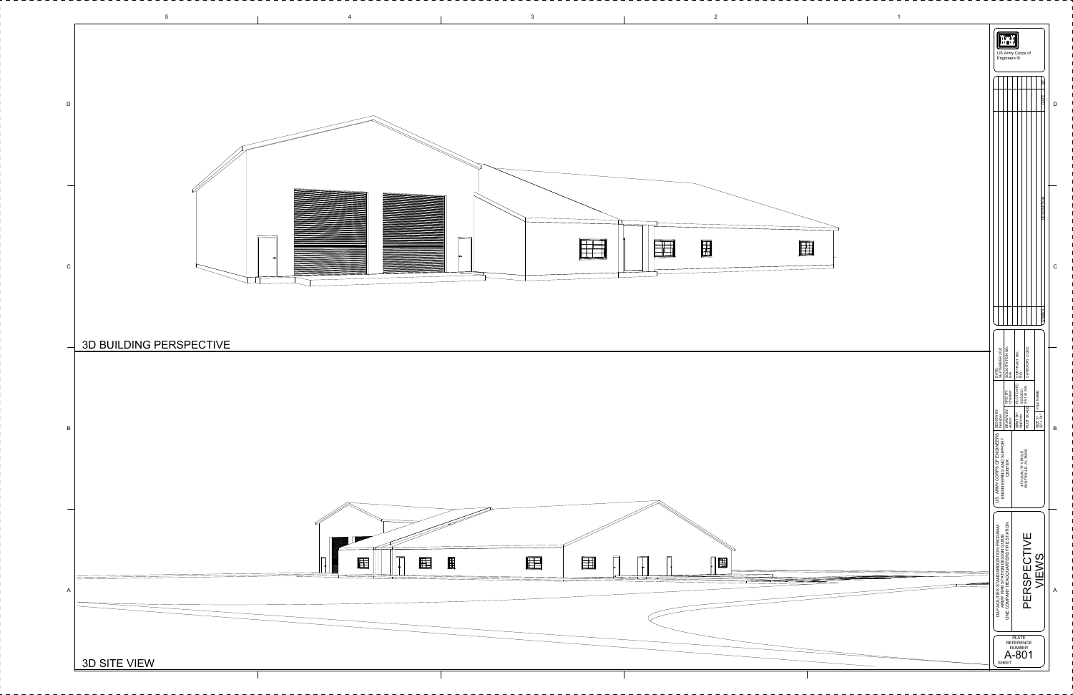<span id="page-0-0"></span>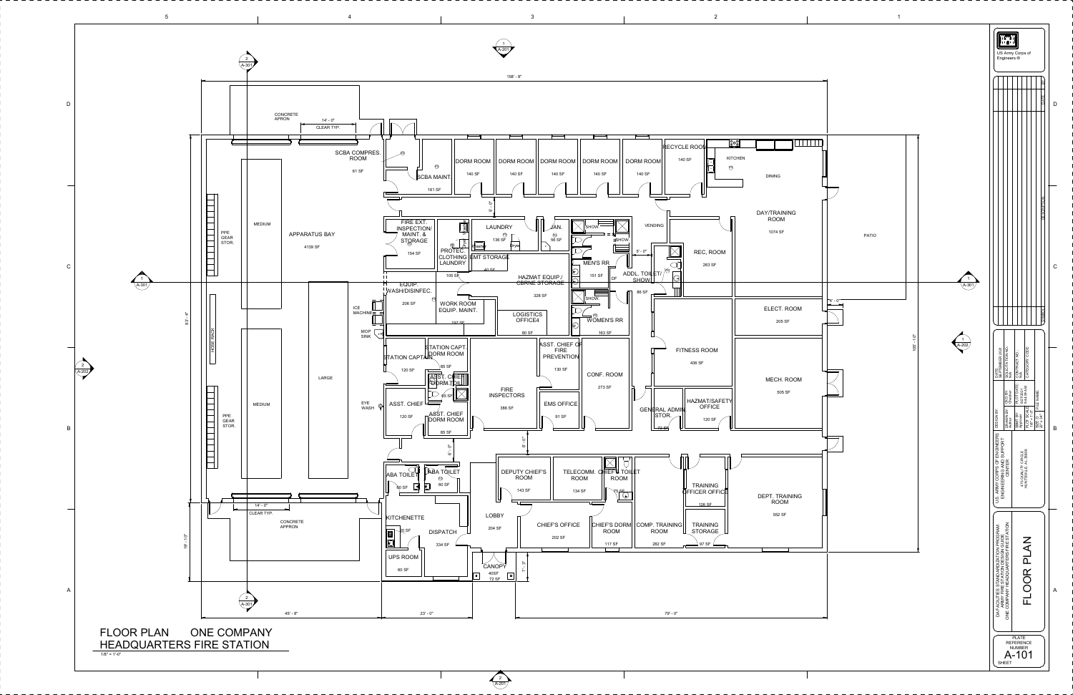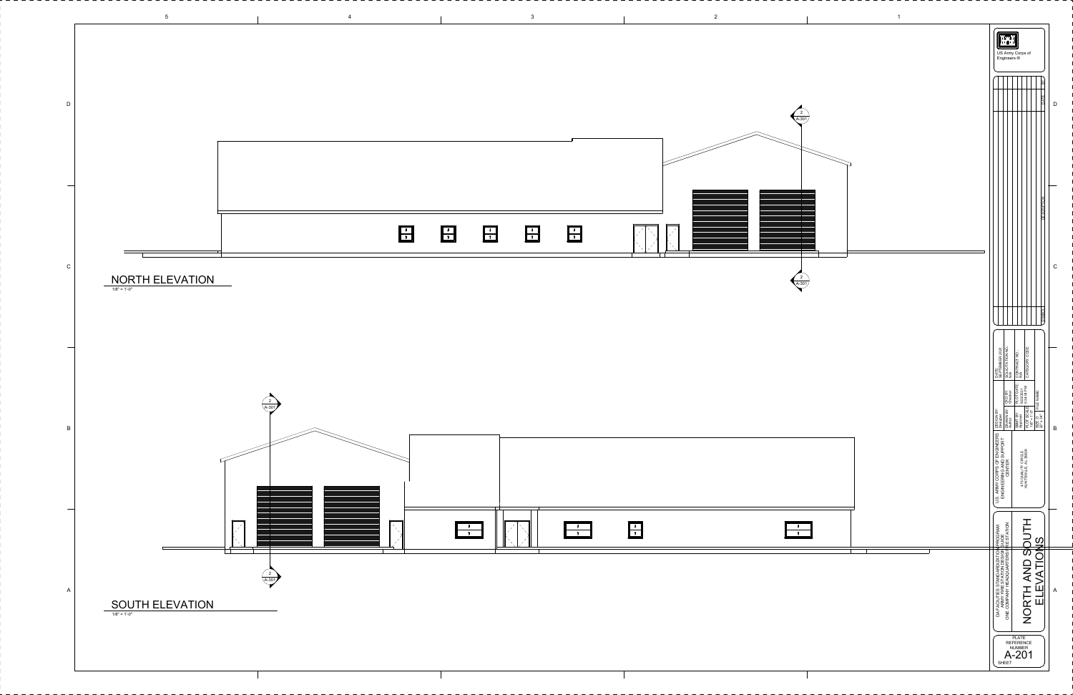| $\infty$ . | $\begin{array}{ c c c c }\n\hline\n\text{r} & \text{r}\n\end{array}$ |  | ║╹╹║<br>— t - ∭ |  |
|------------|----------------------------------------------------------------------|--|-----------------|--|



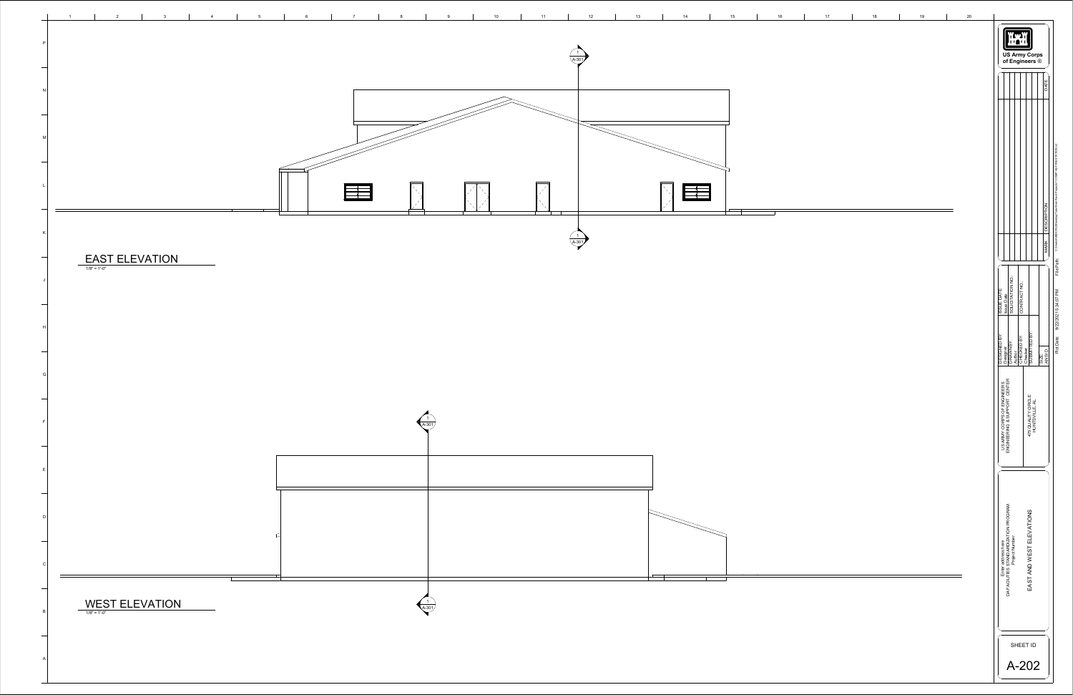

|                                        |                                       | US Army Corps<br>of Engineers $@$ |        | h<br>"          |         |                          |                                      |       |                     |
|----------------------------------------|---------------------------------------|-----------------------------------|--------|-----------------|---------|--------------------------|--------------------------------------|-------|---------------------|
|                                        |                                       |                                   |        |                 |         |                          |                                      |       |                     |
|                                        |                                       |                                   |        |                 |         |                          |                                      |       | MARK <b>DESCRIF</b> |
|                                        |                                       |                                   |        |                 |         |                          |                                      |       |                     |
| ISSUE DATE:                            | <b>Issue Date</b>                     | SOLICITATION NO.:                 |        | CONTRACT NO.:   |         |                          |                                      |       |                     |
| DESIGNED BY:                           | Designer<br>DRAWN BY:                 |                                   | Author | CHECKED BY:     | Checker | SUBMITTED BY:            |                                      | SIZE: | ANSI D              |
| <b>JF ENGINEERS</b><br>US ARMY CORPS O | ENGINEERING & SUPPORT CENTER          |                                   |        |                 |         |                          | 475 QUALITY CIRCLE<br>HUNTSVILLE, AL |       |                     |
| Enter address here                     | DA FACILITIES STANDARDIZATION PROGRAM | Project Number                    |        |                 |         | EAST AND WEST ELEVATIONS |                                      |       |                     |
|                                        |                                       |                                   |        | <b>SHEET ID</b> |         |                          |                                      |       |                     |
|                                        |                                       |                                   |        | -202            |         |                          |                                      |       |                     |

File Path: Plot Date: C:\Users\A0EDCRLS\Desktop\Tele-Work Revit Projects\1 COMP HQ FIRE STATION.rvt 9/22/2021 5:34:07 PM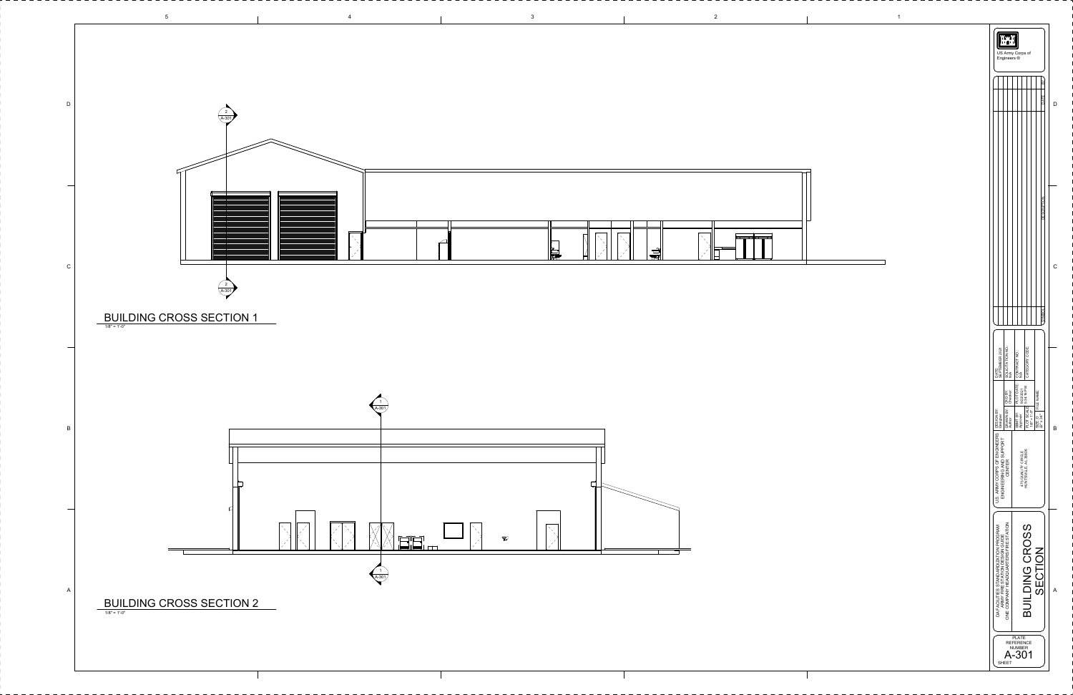|  | 3 |               |      | 2        |  |
|--|---|---------------|------|----------|--|
|  |   |               |      |          |  |
|  |   | $\Delta$<br>U | WIDI | $\Delta$ |  |